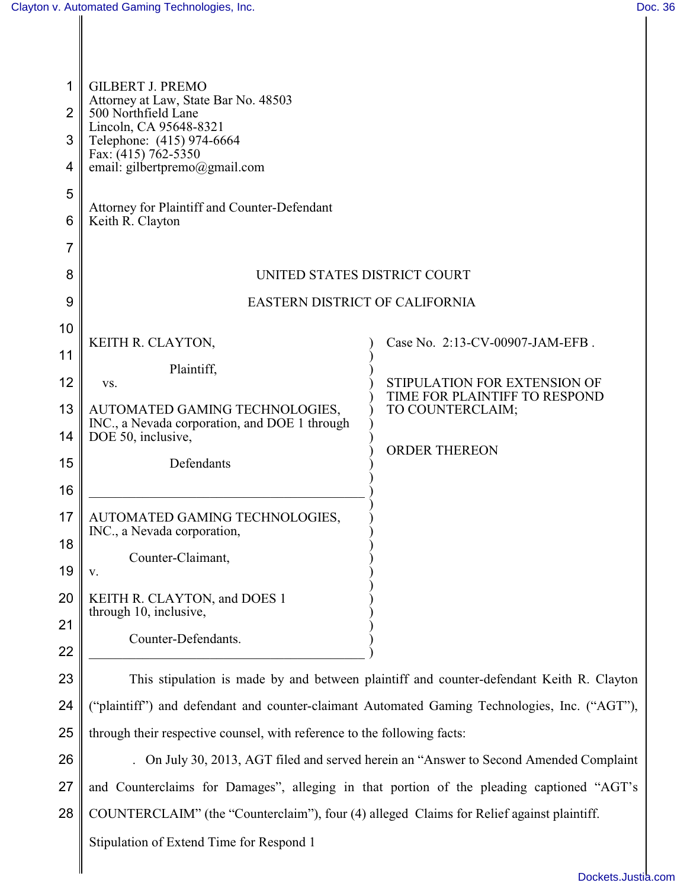| 1<br>2<br>3<br>4<br>5<br>6 | <b>GILBERT J. PREMO</b><br>Attorney at Law, State Bar No. 48503<br>500 Northfield Lane<br>Lincoln, CA 95648-8321<br>Telephone: (415) 974-6664<br>Fax: $(415)$ 762-5350<br>email: gilbertpremo@gmail.com<br>Attorney for Plaintiff and Counter-Defendant<br>Keith R. Clayton |                                                   |
|----------------------------|-----------------------------------------------------------------------------------------------------------------------------------------------------------------------------------------------------------------------------------------------------------------------------|---------------------------------------------------|
| 7<br>8                     | UNITED STATES DISTRICT COURT                                                                                                                                                                                                                                                |                                                   |
| 9                          | EASTERN DISTRICT OF CALIFORNIA                                                                                                                                                                                                                                              |                                                   |
| 10                         |                                                                                                                                                                                                                                                                             |                                                   |
| 11                         | KEITH R. CLAYTON,                                                                                                                                                                                                                                                           | Case No. 2:13-CV-00907-JAM-EFB.                   |
| 12                         | Plaintiff,<br>VS.                                                                                                                                                                                                                                                           | STIPULATION FOR EXTENSION OF                      |
| 13                         | AUTOMATED GAMING TECHNOLOGIES,                                                                                                                                                                                                                                              | TIME FOR PLAINTIFF TO RESPOND<br>TO COUNTERCLAIM; |
| 14                         | INC., a Nevada corporation, and DOE 1 through<br>DOE 50, inclusive,                                                                                                                                                                                                         |                                                   |
| 15                         | Defendants                                                                                                                                                                                                                                                                  | <b>ORDER THEREON</b>                              |
| 16                         |                                                                                                                                                                                                                                                                             |                                                   |
| 17                         | AUTOMATED GAMING TECHNOLOGIES,                                                                                                                                                                                                                                              |                                                   |
| 18                         | INC., a Nevada corporation,                                                                                                                                                                                                                                                 |                                                   |
| 19                         | Counter-Claimant,<br>V.                                                                                                                                                                                                                                                     |                                                   |
| 20                         | KEITH R. CLAYTON, and DOES 1                                                                                                                                                                                                                                                |                                                   |
| 21                         | through 10, inclusive,                                                                                                                                                                                                                                                      |                                                   |
| 22                         | Counter-Defendants.                                                                                                                                                                                                                                                         |                                                   |
| 23                         | This stipulation is made by and between plaintiff and counter-defendant Keith R. Clayton                                                                                                                                                                                    |                                                   |
| 24                         | "plaintiff") and defendant and counter-claimant Automated Gaming Technologies, Inc. ("AGT"),                                                                                                                                                                                |                                                   |
| 25                         | through their respective counsel, with reference to the following facts:                                                                                                                                                                                                    |                                                   |
| 26                         | . On July 30, 2013, AGT filed and served herein an "Answer to Second Amended Complaint                                                                                                                                                                                      |                                                   |
| 27                         | and Counterclaims for Damages", alleging in that portion of the pleading captioned "AGT's                                                                                                                                                                                   |                                                   |
| 28                         | COUNTERCLAIM" (the "Counterclaim"), four (4) alleged Claims for Relief against plaintiff.                                                                                                                                                                                   |                                                   |
|                            | Stipulation of Extend Time for Respond 1                                                                                                                                                                                                                                    |                                                   |
|                            |                                                                                                                                                                                                                                                                             |                                                   |